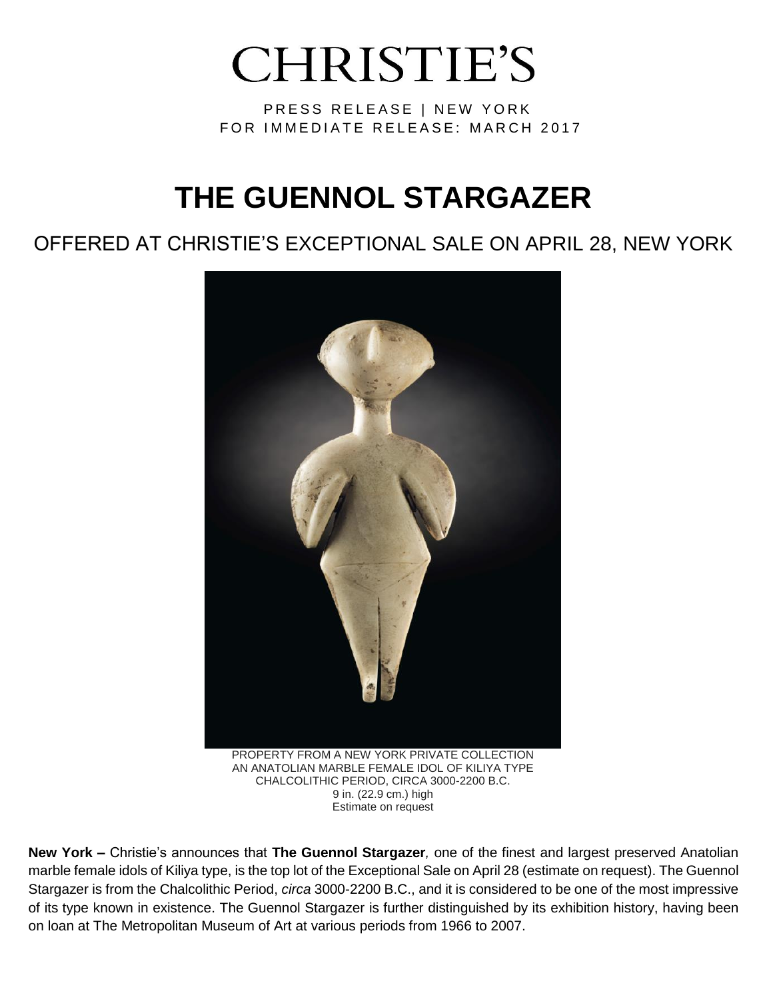# **CHRISTIE'S**

PRESS RELEASE | NEW YORK FOR IMMEDIATE RELEASE: MARCH 2017

## **THE GUENNOL STARGAZER**

### OFFERED AT CHRISTIE'S EXCEPTIONAL SALE ON APRIL 28, NEW YORK



**New York –** Christie's announces that **The Guennol Stargazer***,* one of the finest and largest preserved Anatolian marble female idols of Kiliya type, is the top lot of the Exceptional Sale on April 28 (estimate on request). The Guennol Stargazer is from the Chalcolithic Period, *circa* 3000-2200 B.C., and it is considered to be one of the most impressive of its type known in existence. The Guennol Stargazer is further distinguished by its exhibition history, having been on loan at The Metropolitan Museum of Art at various periods from 1966 to 2007.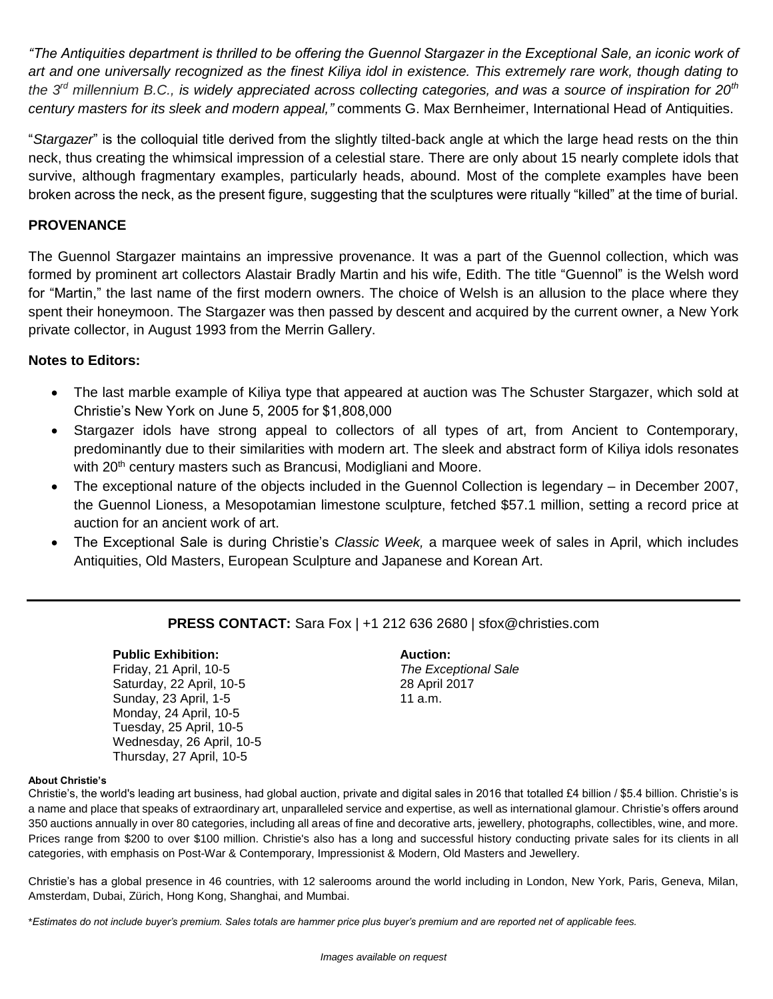*"The Antiquities department is thrilled to be offering the Guennol Stargazer in the Exceptional Sale, an iconic work of art and one universally recognized as the finest Kiliya idol in existence. This extremely rare work, though dating to the 3rd millennium B.C., is widely appreciated across collecting categories, and was a source of inspiration for 20th century masters for its sleek and modern appeal,"* comments G. Max Bernheimer, International Head of Antiquities.

"*Stargazer*" is the colloquial title derived from the slightly tilted-back angle at which the large head rests on the thin neck, thus creating the whimsical impression of a celestial stare. There are only about 15 nearly complete idols that survive, although fragmentary examples, particularly heads, abound. Most of the complete examples have been broken across the neck, as the present figure, suggesting that the sculptures were ritually "killed" at the time of burial.

#### **PROVENANCE**

The Guennol Stargazer maintains an impressive provenance. It was a part of the Guennol collection, which was formed by prominent art collectors Alastair Bradly Martin and his wife, Edith. The title "Guennol" is the Welsh word for "Martin," the last name of the first modern owners. The choice of Welsh is an allusion to the place where they spent their honeymoon. The Stargazer was then passed by descent and acquired by the current owner, a New York private collector, in August 1993 from the Merrin Gallery.

#### **Notes to Editors:**

- The last marble example of Kiliya type that appeared at auction was The Schuster Stargazer, which sold at Christie's New York on June 5, 2005 for \$1,808,000
- Stargazer idols have strong appeal to collectors of all types of art, from Ancient to Contemporary, predominantly due to their similarities with modern art. The sleek and abstract form of Kiliya idols resonates with 20<sup>th</sup> century masters such as Brancusi, Modigliani and Moore.
- The exceptional nature of the objects included in the Guennol Collection is legendary in December 2007, the Guennol Lioness, a Mesopotamian limestone sculpture, fetched \$57.1 million, setting a record price at auction for an ancient work of art.
- The Exceptional Sale is during Christie's *Classic Week,* a marquee week of sales in April, which includes Antiquities, Old Masters, European Sculpture and Japanese and Korean Art.

#### **PRESS CONTACT:** Sara Fox | +1 212 636 2680 | sfox@christies.com

#### **Public Exhibition:**

Friday, 21 April, 10-5 Saturday, 22 April, 10-5 Sunday, 23 April, 1-5 Monday, 24 April, 10-5 Tuesday, 25 April, 10-5 Wednesday, 26 April, 10-5 Thursday, 27 April, 10-5

**Auction:**  *The Exceptional Sale* 28 April 2017 11 a.m.

#### **About Christie's**

Christie's, the world's leading art business, had global auction, private and digital sales in 2016 that totalled £4 billion / \$5.4 billion. Christie's is a name and place that speaks of extraordinary art, unparalleled service and expertise, as well as international glamour. Christie's offers around 350 auctions annually in over 80 categories, including all areas of fine and decorative arts, jewellery, photographs, collectibles, wine, and more. Prices range from \$200 to over \$100 million. Christie's also has a long and successful history conducting private sales for its clients in all categories, with emphasis on Post-War & Contemporary, Impressionist & Modern, Old Masters and Jewellery.

Christie's has a global presence in 46 countries, with 12 salerooms around the world including in London, New York, Paris, Geneva, Milan, Amsterdam, Dubai, Zürich, Hong Kong, Shanghai, and Mumbai.

\**Estimates do not include buyer's premium. Sales totals are hammer price plus buyer's premium and are reported net of applicable fees.*